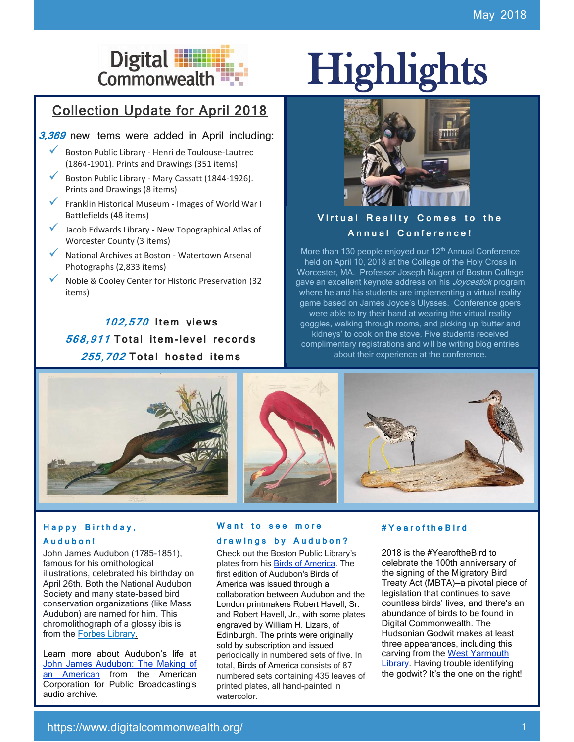## Collection Update for April 2018

#### **3,369** new items were added in April including:

- ✓ Boston Public Library Henri de Toulouse-Lautrec (1864-1901). Prints and Drawings (351 items)
- Boston Public Library Mary Cassatt (1844-1926). Prints and Drawings (8 items)
- ✓ Franklin Historical Museum Images of World War I Battlefields (48 items)
- Jacob Edwards Library New Topographical Atlas of Worcester County (3 items)
- National Archives at Boston Watertown Arsenal Photographs (2,833 items)
- ✓ Noble & Cooley Center for Historic Preservation (32 items)

**102,570 I tem** v**iews 568,911 To tal i tem-level records 255,702 To tal hos ted i tems**

# Digital **Highlights**<br>Commonwealth



### **Virtual Reality Comes to the A n n u a l C o n f e r e n c e !**

More than 130 people enjoyed our  $12<sup>th</sup>$  Annual Conference held on April 10, 2018 at the College of the Holy Cross in Worcester, MA. Professor Joseph Nugent of Boston College gave an excellent keynote address on his *Joycestick* program where he and his students are implementing a virtual reality game based on James Joyce's Ulysses. Conference goers were able to try their hand at wearing the virtual reality goggles, walking through rooms, and picking up 'butter and kidneys' to cook on the stove. Five students received complimentary registrations and will be writing blog entries about their experience at the conference.



#### Happy Birthday, **A u d u b o n !**

John James Audubon (1785-1851), famous for his ornithological illustrations, celebrated his birthday on April 26th. Both the National Audubon Society and many state-based bird conservation organizations (like Mass Audubon) are named for him. This chromolithograph of a glossy ibis is from the **Forbes Library**.

Learn more about Audubon's life at [John James Audubon: The Making of](https://www.digitalcommonwealth.org/search/commonwealth-oai:qr46rf47v)  [an American](https://www.digitalcommonwealth.org/search/commonwealth-oai:qr46rf47v) from the American Corporation for Public Broadcasting's audio archive.

#### **Want to see more d r a w i n g s b y A u d u b o n ?**

Check out the Boston Public Library's plates from his [Birds of America.](https://www.digitalcommonwealth.org/collections/commonwealth:9s16cv46h) The first edition of Audubon's Birds of America was issued through a collaboration between Audubon and the London printmakers Robert Havell, Sr. and Robert Havell, Jr., with some plates engraved by William H. Lizars, of Edinburgh. The prints were originally sold by subscription and issued periodically in numbered sets of five. In total, [Birds of America](https://www.digitalcommonwealth.org/collections/commonwealth:9s16cv46h) consists of 87 numbered sets containing 435 leaves of printed plates, all hand-painted in watercolor.

#### **# Y e a r o f t h e B i r d**

2018 is the #YearoftheBird to celebrate the 100th anniversary of the signing of the Migratory Bird Treaty Act (MBTA)—a pivotal piece of legislation that continues to save countless birds' lives, and there's an abundance of birds to be found in Digital Commonwealth. The Hudsonian Godwit makes at least three appearances, including this carving from the West Yarmouth [Library.](https://ark.digitalcommonwealth.org/ark:/50959/73667034x) Having trouble identifying the godwit? It's the one on the right!